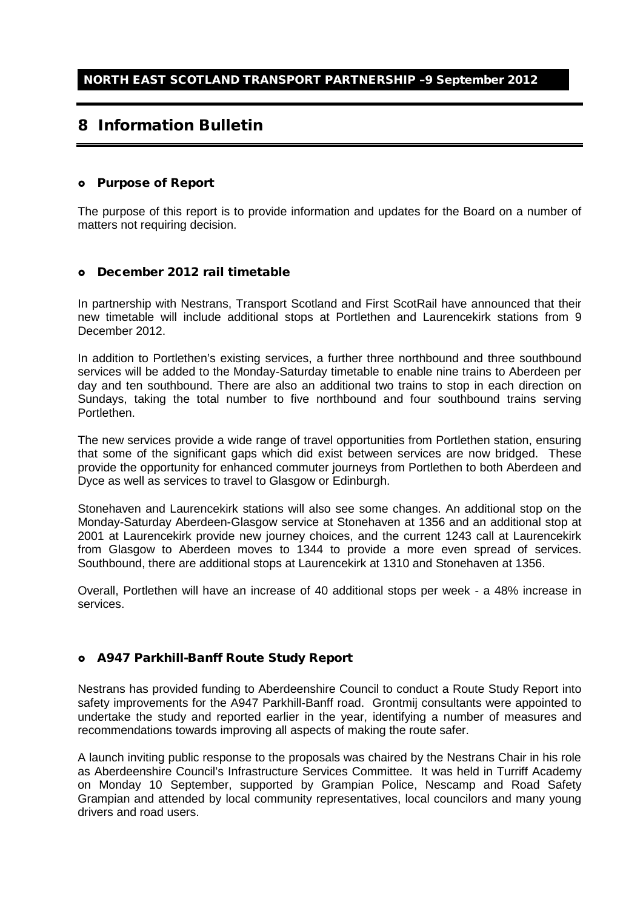# 8 Information Bulletin

#### Purpose of Report

The purpose of this report is to provide information and updates for the Board on a number of matters not requiring decision.

#### December 2012 rail timetable

In partnership with Nestrans, Transport Scotland and First ScotRail have announced that their new timetable will include additional stops at Portlethen and Laurencekirk stations from 9 December 2012.

In addition to Portlethen's existing services, a further three northbound and three southbound services will be added to the Monday-Saturday timetable to enable nine trains to Aberdeen per day and ten southbound. There are also an additional two trains to stop in each direction on Sundays, taking the total number to five northbound and four southbound trains serving Portlethen.

The new services provide a wide range of travel opportunities from Portlethen station, ensuring that some of the significant gaps which did exist between services are now bridged. These provide the opportunity for enhanced commuter journeys from Portlethen to both Aberdeen and Dyce as well as services to travel to Glasgow or Edinburgh.

Stonehaven and Laurencekirk stations will also see some changes. An additional stop on the Monday-Saturday Aberdeen-Glasgow service at Stonehaven at 1356 and an additional stop at 2001 at Laurencekirk provide new journey choices, and the current 1243 call at Laurencekirk from Glasgow to Aberdeen moves to 1344 to provide a more even spread of services. Southbound, there are additional stops at Laurencekirk at 1310 and Stonehaven at 1356.

Overall, Portlethen will have an increase of 40 additional stops per week - a 48% increase in services.

## A947 Parkhill-Banff Route Study Report

Nestrans has provided funding to Aberdeenshire Council to conduct a Route Study Report into safety improvements for the A947 Parkhill-Banff road. Grontmij consultants were appointed to undertake the study and reported earlier in the year, identifying a number of measures and recommendations towards improving all aspects of making the route safer.

A launch inviting public response to the proposals was chaired by the Nestrans Chair in his role as Aberdeenshire Council's Infrastructure Services Committee. It was held in Turriff Academy on Monday 10 September, supported by Grampian Police, Nescamp and Road Safety Grampian and attended by local community representatives, local councilors and many young drivers and road users.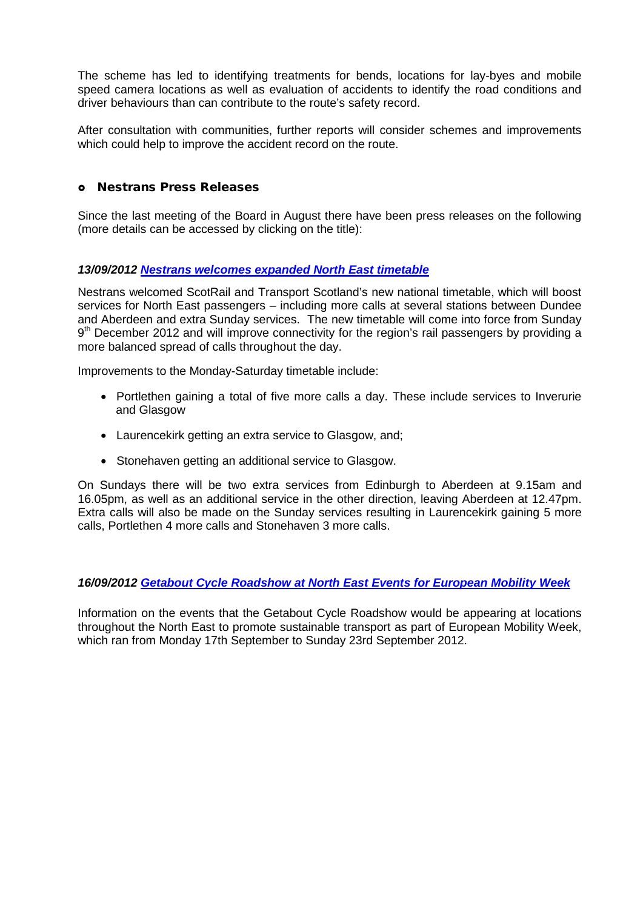The scheme has led to identifying treatments for bends, locations for lay-byes and mobile speed camera locations as well as evaluation of accidents to identify the road conditions and driver behaviours than can contribute to the route's safety record.

After consultation with communities, further reports will consider schemes and improvements which could help to improve the accident record on the route.

## Nestrans Press Releases

Since the last meeting of the Board in August there have been press releases on the following (more details can be accessed by clicking on the title):

## *13/09/2012 [Nestrans welcomes expanded North East timetable](http://www.nestrans.org.uk/362/news.html)*

Nestrans welcomed ScotRail and Transport Scotland's new national timetable, which will boost services for North East passengers – including more calls at several stations between Dundee and Aberdeen and extra Sunday services. The new timetable will come into force from Sunday  $9<sup>th</sup>$  December 2012 and will improve connectivity for the region's rail passengers by providing a more balanced spread of calls throughout the day.

Improvements to the Monday-Saturday timetable include:

- Portlethen gaining a total of five more calls a day. These include services to Inverurie and Glasgow
- Laurencekirk getting an extra service to Glasgow, and;
- Stonehaven getting an additional service to Glasgow.

On Sundays there will be two extra services from Edinburgh to Aberdeen at 9.15am and 16.05pm, as well as an additional service in the other direction, leaving Aberdeen at 12.47pm. Extra calls will also be made on the Sunday services resulting in Laurencekirk gaining 5 more calls, Portlethen 4 more calls and Stonehaven 3 more calls.

## *16/09/2012 [Getabout Cycle Roadshow at North East Events for European Mobility Week](http://www.nestrans.org.uk/363/news.html)*

Information on the events that the Getabout Cycle Roadshow would be appearing at locations throughout the North East to promote sustainable transport as part of European Mobility Week, which ran from Monday 17th September to Sunday 23rd September 2012.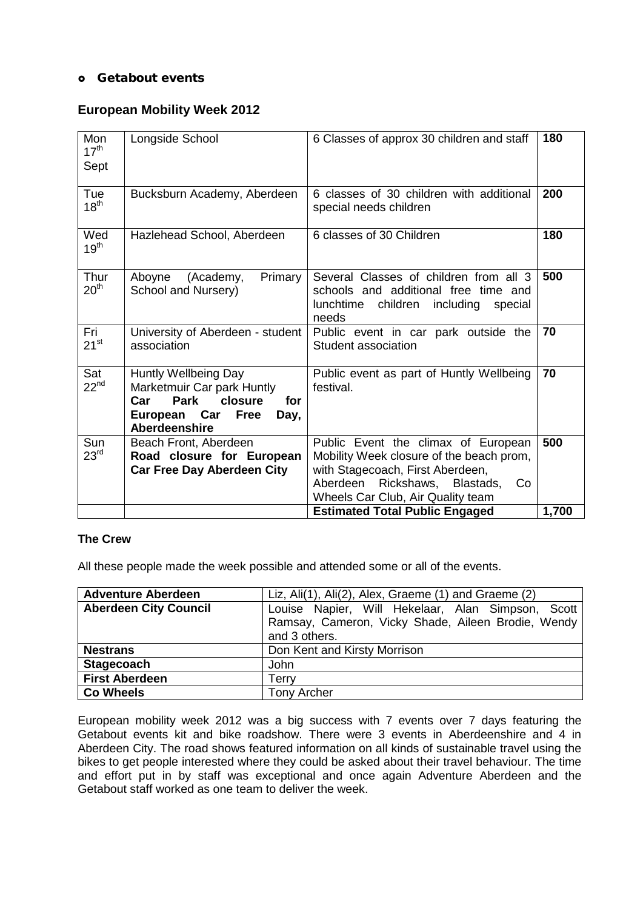# o Getabout events

# **European Mobility Week 2012**

| Mon<br>$17^{\text{th}}$<br>Sept | Longside School                                                                                                                          | 6 Classes of approx 30 children and staff                                                                                                                                                                                                   | 180          |
|---------------------------------|------------------------------------------------------------------------------------------------------------------------------------------|---------------------------------------------------------------------------------------------------------------------------------------------------------------------------------------------------------------------------------------------|--------------|
| Tue<br>18 <sup>th</sup>         | Bucksburn Academy, Aberdeen                                                                                                              | 6 classes of 30 children with additional<br>special needs children                                                                                                                                                                          | 200          |
| Wed<br>$19^{th}$                | Hazlehead School, Aberdeen                                                                                                               | 6 classes of 30 Children                                                                                                                                                                                                                    | 180          |
| Thur<br>20 <sup>th</sup>        | Aboyne<br>(Academy,<br>Primary<br>School and Nursery)                                                                                    | Several Classes of children from all 3<br>schools and additional free time and<br>lunchtime<br>children<br>including<br>special<br>needs                                                                                                    | 500          |
| Fri<br>$21^{st}$                | University of Aberdeen - student<br>association                                                                                          | Public event in car park outside the<br>Student association                                                                                                                                                                                 | 70           |
| Sat<br>$22^{nd}$                | Huntly Wellbeing Day<br>Marketmuir Car park Huntly<br>Park<br>closure<br>Car<br>for<br>European Car Free<br>Day,<br><b>Aberdeenshire</b> | Public event as part of Huntly Wellbeing<br>festival.                                                                                                                                                                                       | 70           |
| Sun<br>23 <sup>rd</sup>         | Beach Front, Aberdeen<br>Road closure for European<br><b>Car Free Day Aberdeen City</b>                                                  | Public Event the climax of European<br>Mobility Week closure of the beach prom,<br>with Stagecoach, First Aberdeen,<br>Aberdeen<br>Rickshaws, Blastads,<br>Co<br>Wheels Car Club, Air Quality team<br><b>Estimated Total Public Engaged</b> | 500<br>1,700 |

# **The Crew**

All these people made the week possible and attended some or all of the events.

| <b>Adventure Aberdeen</b>    | Liz, Ali(1), Ali(2), Alex, Graeme (1) and Graeme (2)                                                                     |
|------------------------------|--------------------------------------------------------------------------------------------------------------------------|
| <b>Aberdeen City Council</b> | Louise Napier, Will Hekelaar, Alan Simpson, Scott<br>Ramsay, Cameron, Vicky Shade, Aileen Brodie, Wendy<br>and 3 others. |
| <b>Nestrans</b>              | Don Kent and Kirsty Morrison                                                                                             |
| <b>Stagecoach</b>            | John                                                                                                                     |
| <b>First Aberdeen</b>        | Terrv                                                                                                                    |
| <b>Co Wheels</b>             | <b>Tony Archer</b>                                                                                                       |

European mobility week 2012 was a big success with 7 events over 7 days featuring the Getabout events kit and bike roadshow. There were 3 events in Aberdeenshire and 4 in Aberdeen City. The road shows featured information on all kinds of sustainable travel using the bikes to get people interested where they could be asked about their travel behaviour. The time and effort put in by staff was exceptional and once again Adventure Aberdeen and the Getabout staff worked as one team to deliver the week.